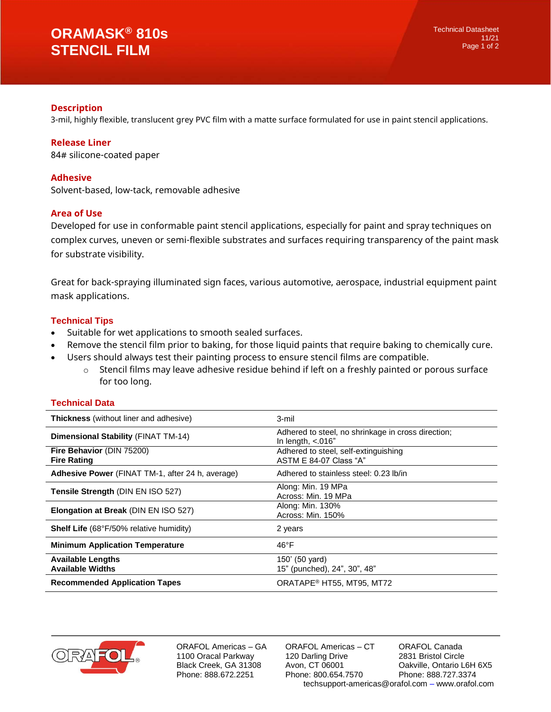# **ORAMASK® 810s STENCIL FILM**

# **Description**

3-mil, highly flexible, translucent grey PVC film with a matte surface formulated for use in paint stencil applications.

## **Release Liner**

84# silicone-coated paper

# **Adhesive**

Solvent-based, low-tack, removable adhesive

## **Area of Use**

Developed for use in conformable paint stencil applications, especially for paint and spray techniques on complex curves, uneven or semi-flexible substrates and surfaces requiring transparency of the paint mask for substrate visibility.

Great for back-spraying illuminated sign faces, various automotive, aerospace, industrial equipment paint mask applications.

# **Technical Tips**

- Suitable for wet applications to smooth sealed surfaces.
- Remove the stencil film prior to baking, for those liquid paints that require baking to chemically cure.
- Users should always test their painting process to ensure stencil films are compatible.
	- $\circ$  Stencil films may leave adhesive residue behind if left on a freshly painted or porous surface for too long.

#### **Technical Data**

| <b>Thickness</b> (without liner and adhesive)           | 3-mil                                                                      |
|---------------------------------------------------------|----------------------------------------------------------------------------|
| <b>Dimensional Stability (FINAT TM-14)</b>              | Adhered to steel, no shrinkage in cross direction;<br>In length, $< 016$ " |
| Fire Behavior (DIN 75200)<br><b>Fire Rating</b>         | Adhered to steel, self-extinguishing<br>ASTM E 84-07 Class "A"             |
| <b>Adhesive Power</b> (FINAT TM-1, after 24 h, average) | Adhered to stainless steel: 0.23 lb/in                                     |
| Tensile Strength (DIN EN ISO 527)                       | Along: Min. 19 MPa<br>Across: Min. 19 MPa                                  |
| Elongation at Break (DIN EN ISO 527)                    | Along: Min. 130%<br>Across: Min. 150%                                      |
| <b>Shelf Life</b> (68°F/50% relative humidity)          | 2 years                                                                    |
| <b>Minimum Application Temperature</b>                  | 46°F                                                                       |
| <b>Available Lengths</b><br><b>Available Widths</b>     | 150' (50 yard)<br>15" (punched), 24", 30", 48"                             |
| <b>Recommended Application Tapes</b>                    | ORATAPE <sup>®</sup> HT55, MT95, MT72                                      |



ORAFOL Americas – GA 1100 Oracal Parkway Black Creek, GA 31308 Phone: 888.672.2251

ORAFOL Americas – CT 120 Darling Drive Avon, CT 06001 Phone: 800.654.7570 ORAFOL Canada 2831 Bristol Circle Oakville, Ontario L6H 6X5 Phone: 888.727.3374 techsupport-americas@orafol.com – www.orafol.com